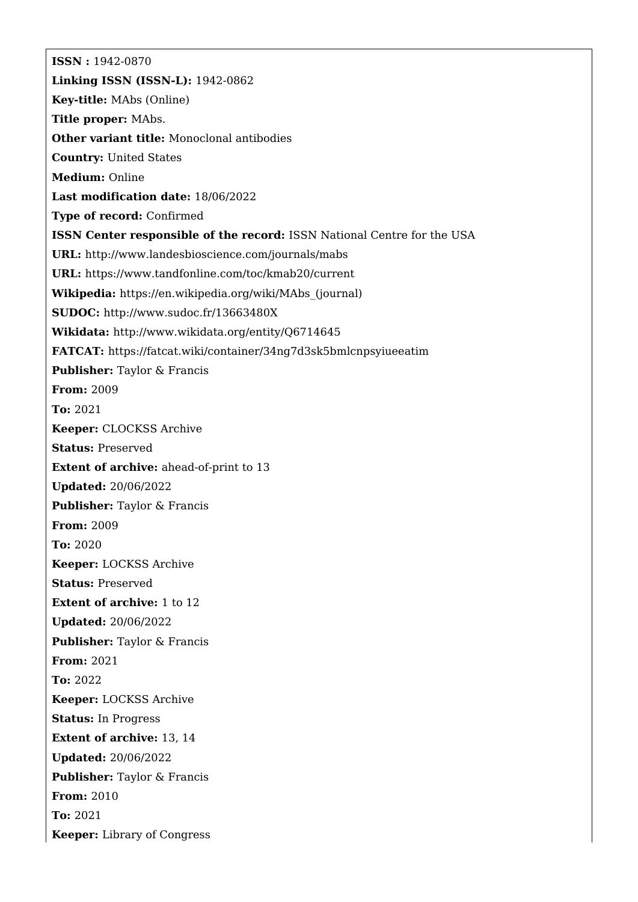**ISSN :** 1942-0870 **Linking ISSN (ISSN-L):** 1942-0862 **Key-title:** MAbs (Online) **Title proper:** MAbs. **Other variant title:** Monoclonal antibodies **Country:** United States **Medium:** Online **Last modification date:** 18/06/2022 **Type of record:** Confirmed **ISSN Center responsible of the record:** ISSN National Centre for the USA **URL:** <http://www.landesbioscience.com/journals/mabs> **URL:** <https://www.tandfonline.com/toc/kmab20/current> **Wikipedia:** [https://en.wikipedia.org/wiki/MAbs\\_\(journal\)](https://en.wikipedia.org/wiki/MAbs_(journal)) **SUDOC:** <http://www.sudoc.fr/13663480X> **Wikidata:** <http://www.wikidata.org/entity/Q6714645> **FATCAT:** <https://fatcat.wiki/container/34ng7d3sk5bmlcnpsyiueeatim> **Publisher:** Taylor & Francis **From:** 2009 **To:** 2021 **Keeper:** CLOCKSS Archive **Status:** Preserved **Extent of archive:** ahead-of-print to 13 **Updated:** 20/06/2022 **Publisher:** Taylor & Francis **From:** 2009 **To:** 2020 **Keeper:** LOCKSS Archive **Status:** Preserved **Extent of archive:** 1 to 12 **Updated:** 20/06/2022 **Publisher:** Taylor & Francis **From:** 2021 **To:** 2022 **Keeper:** LOCKSS Archive **Status:** In Progress **Extent of archive:** 13, 14 **Updated:** 20/06/2022 **Publisher:** Taylor & Francis **From:** 2010 **To:** 2021 **Keeper:** Library of Congress